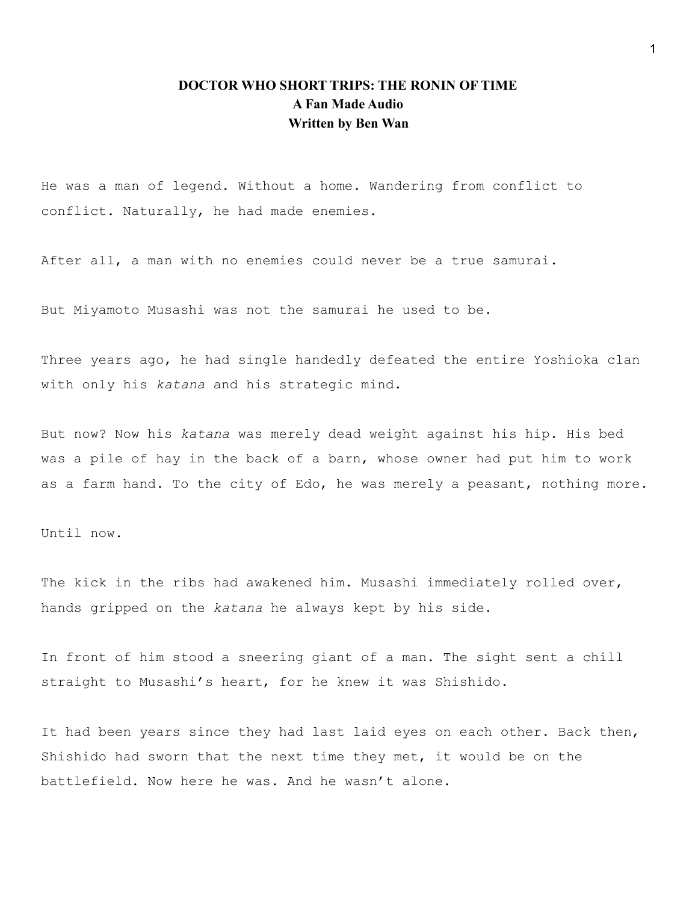# **DOCTOR WHO SHORT TRIPS: THE RONIN OF TIME A Fan Made Audio Written by Ben Wan**

He was a man of legend. Without a home. Wandering from conflict to conflict. Naturally, he had made enemies.

After all, a man with no enemies could never be a true samurai.

But Miyamoto Musashi was not the samurai he used to be.

Three years ago, he had single handedly defeated the entire Yoshioka clan with only his *katana* and his strategic mind.

But now? Now his *katana* was merely dead weight against his hip. His bed was a pile of hay in the back of a barn, whose owner had put him to work as a farm hand. To the city of Edo, he was merely a peasant, nothing more.

Until now.

The kick in the ribs had awakened him. Musashi immediately rolled over, hands gripped on the *katana* he always kept by his side.

In front of him stood a sneering giant of a man. The sight sent a chill straight to Musashi's heart, for he knew it was Shishido.

It had been years since they had last laid eyes on each other. Back then, Shishido had sworn that the next time they met, it would be on the battlefield. Now here he was. And he wasn't alone.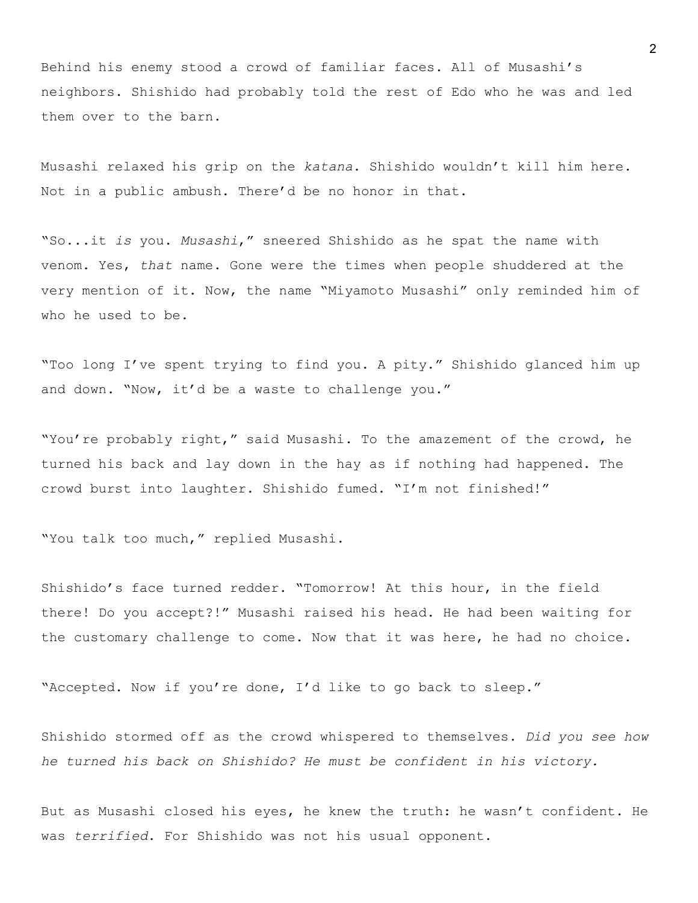Behind his enemy stood a crowd of familiar faces. All of Musashi's neighbors. Shishido had probably told the rest of Edo who he was and led them over to the barn.

Musashi relaxed his grip on the *katana*. Shishido wouldn't kill him here. Not in a public ambush. There'd be no honor in that.

"So...it *is* you. *Musashi*," sneered Shishido as he spat the name with venom. Yes, *that* name. Gone were the times when people shuddered at the very mention of it. Now, the name "Miyamoto Musashi" only reminded him of who he used to be.

"Too long I've spent trying to find you. A pity." Shishido glanced him up and down. "Now, it'd be a waste to challenge you."

"You're probably right," said Musashi. To the amazement of the crowd, he turned his back and lay down in the hay as if nothing had happened. The crowd burst into laughter. Shishido fumed. "I'm not finished!"

"You talk too much," replied Musashi.

Shishido's face turned redder. "Tomorrow! At this hour, in the field there! Do you accept?!" Musashi raised his head. He had been waiting for the customary challenge to come. Now that it was here, he had no choice.

"Accepted. Now if you're done, I'd like to go back to sleep."

Shishido stormed off as the crowd whispered to themselves. *Did you see how he turned his back on Shishido? He must be confident in his victory.*

But as Musashi closed his eyes, he knew the truth: he wasn't confident. He was *terrified*. For Shishido was not his usual opponent.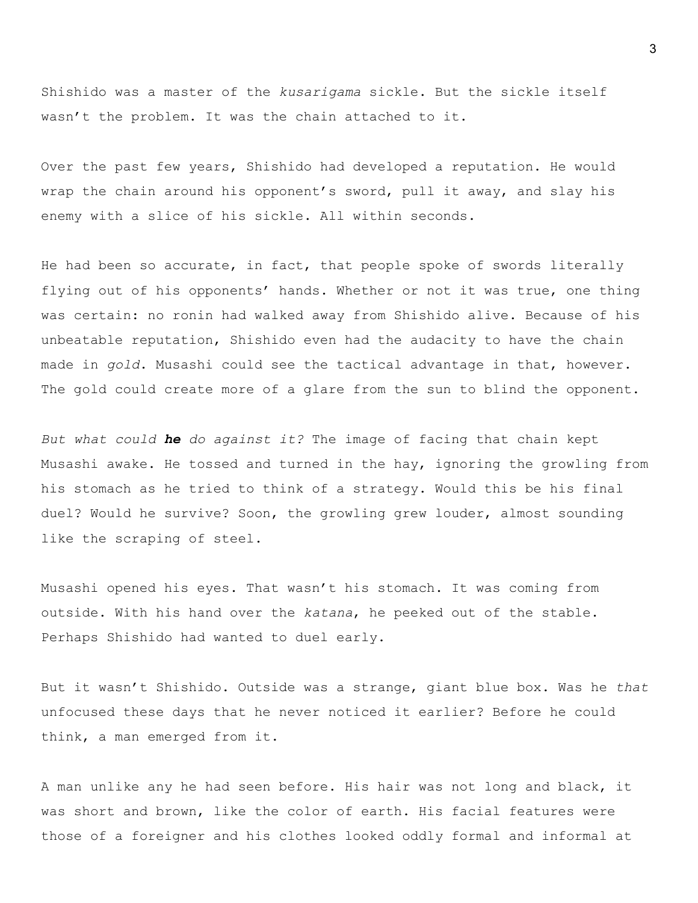Shishido was a master of the *kusarigama* sickle. But the sickle itself wasn't the problem. It was the chain attached to it.

Over the past few years, Shishido had developed a reputation. He would wrap the chain around his opponent's sword, pull it away, and slay his enemy with a slice of his sickle. All within seconds.

He had been so accurate, in fact, that people spoke of swords literally flying out of his opponents' hands. Whether or not it was true, one thing was certain: no ronin had walked away from Shishido alive. Because of his unbeatable reputation, Shishido even had the audacity to have the chain made in *gold*. Musashi could see the tactical advantage in that, however. The gold could create more of a glare from the sun to blind the opponent.

*But what could he do against it?* The image of facing that chain kept Musashi awake. He tossed and turned in the hay, ignoring the growling from his stomach as he tried to think of a strategy. Would this be his final duel? Would he survive? Soon, the growling grew louder, almost sounding like the scraping of steel.

Musashi opened his eyes. That wasn't his stomach. It was coming from outside. With his hand over the *katana*, he peeked out of the stable. Perhaps Shishido had wanted to duel early.

But it wasn't Shishido. Outside was a strange, giant blue box. Was he *that* unfocused these days that he never noticed it earlier? Before he could think, a man emerged from it.

A man unlike any he had seen before. His hair was not long and black, it was short and brown, like the color of earth. His facial features were those of a foreigner and his clothes looked oddly formal and informal at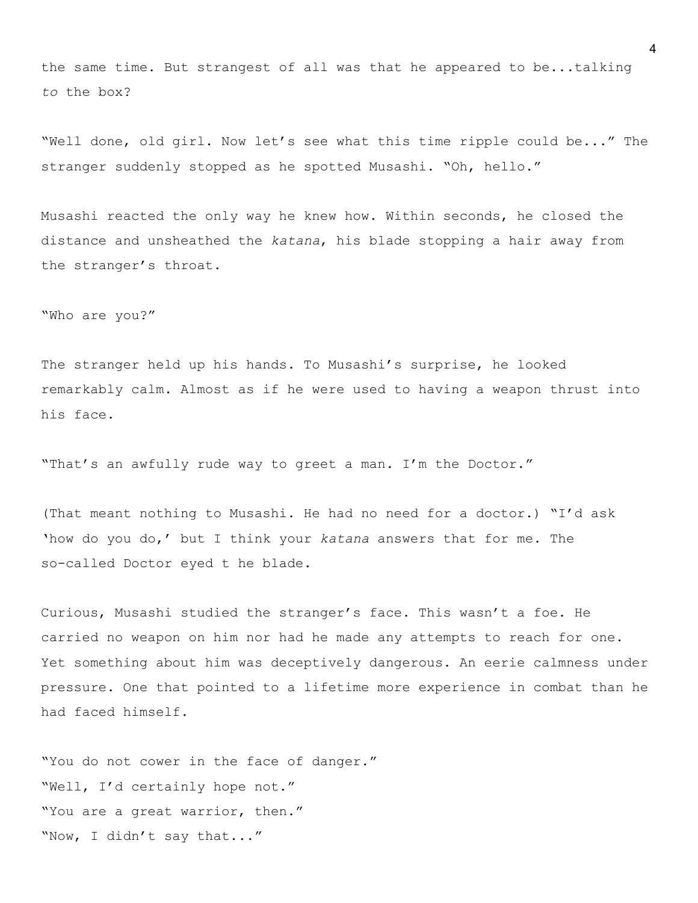the same time. But strangest of all was that he appeared to be...talking *to* the box?

"Well done, old girl. Now let's see what this time ripple could be..." The stranger suddenly stopped as he spotted Musashi. "Oh, hello."

Musashi reacted the only way he knew how. Within seconds, he closed the distance and unsheathed the *katana*, his blade stopping a hair away from the stranger's throat.

"Who are you?"

The stranger held up his hands. To Musashi's surprise, he looked remarkably calm. Almost as if he were used to having a weapon thrust into his face.

"That's an awfully rude way to greet a man. I'm the Doctor."

(That meant nothing to Musashi. He had no need for a doctor.) "I'd ask 'how do you do,' but I think your *katana* answers that for me. The so-called Doctor eyed t he blade.

Curious, Musashi studied the stranger's face. This wasn't a foe. He carried no weapon on him nor had he made any attempts to reach for one. Yet something about him was deceptively dangerous. An eerie calmness under pressure. One that pointed to a lifetime more experience in combat than he had faced himself.

"You do not cower in the face of danger." "Well, I'd certainly hope not." "You are a great warrior, then." "Now, I didn't say that..."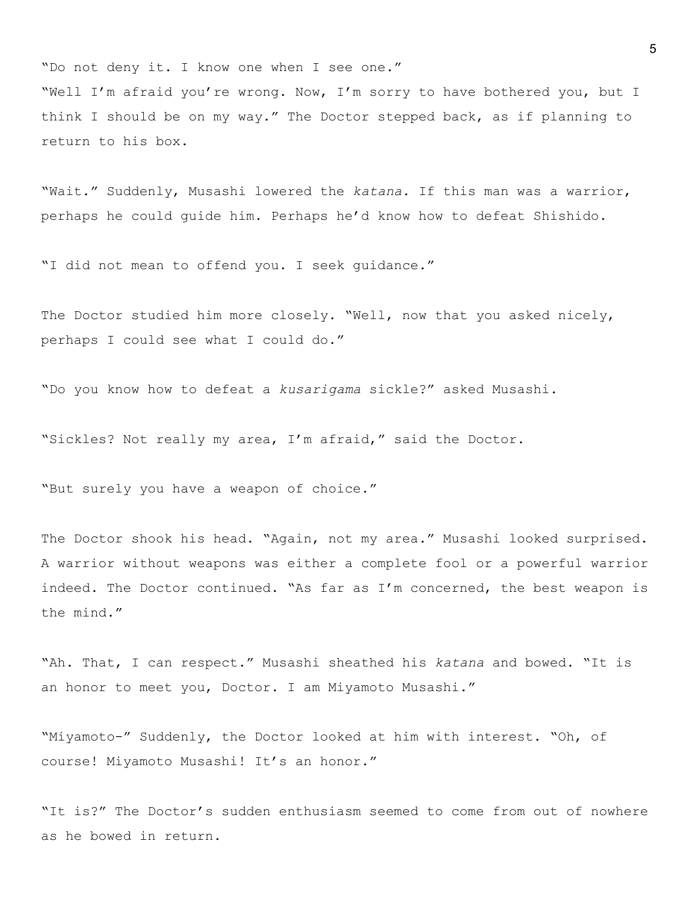"Do not deny it. I know one when I see one." "Well I'm afraid you're wrong. Now, I'm sorry to have bothered you, but I think I should be on my way." The Doctor stepped back, as if planning to return to his box.

"Wait." Suddenly, Musashi lowered the *katana*. If this man was a warrior, perhaps he could guide him. Perhaps he'd know how to defeat Shishido.

"I did not mean to offend you. I seek guidance."

The Doctor studied him more closely. "Well, now that you asked nicely, perhaps I could see what I could do."

"Do you know how to defeat a *kusarigama* sickle?" asked Musashi.

"Sickles? Not really my area, I'm afraid," said the Doctor.

"But surely you have a weapon of choice."

The Doctor shook his head. "Again, not my area." Musashi looked surprised. A warrior without weapons was either a complete fool or a powerful warrior indeed. The Doctor continued. "As far as I'm concerned, the best weapon is the mind."

"Ah. That, I can respect." Musashi sheathed his *katana* and bowed. "It is an honor to meet you, Doctor. I am Miyamoto Musashi."

"Miyamoto-" Suddenly, the Doctor looked at him with interest. "Oh, of course! Miyamoto Musashi! It's an honor."

"It is?" The Doctor's sudden enthusiasm seemed to come from out of nowhere as he bowed in return.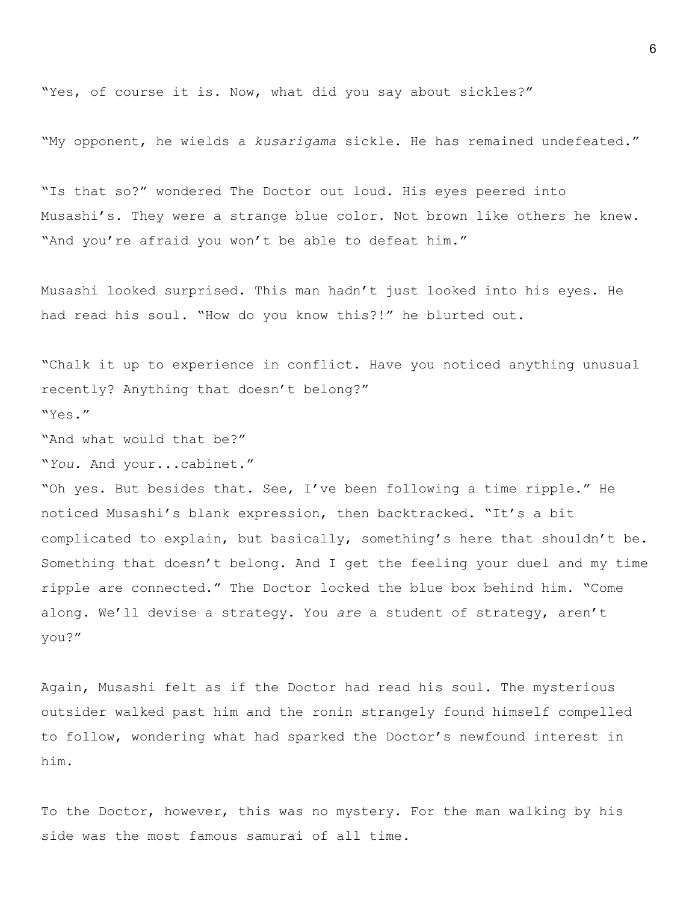"Yes, of course it is. Now, what did you say about sickles?"

"My opponent, he wields a *kusarigama* sickle. He has remained undefeated."

"Is that so?" wondered The Doctor out loud. His eyes peered into Musashi's. They were a strange blue color. Not brown like others he knew. "And you're afraid you won't be able to defeat him."

Musashi looked surprised. This man hadn't just looked into his eyes. He had read his soul. "How do you know this?!" he blurted out.

"Chalk it up to experience in conflict. Have you noticed anything unusual recently? Anything that doesn't belong?" "Yes."

"And what would that be?"

"*You.* And your...cabinet."

"Oh yes. But besides that. See, I've been following a time ripple." He noticed Musashi's blank expression, then backtracked. "It's a bit complicated to explain, but basically, something's here that shouldn't be. Something that doesn't belong. And I get the feeling your duel and my time ripple are connected." The Doctor locked the blue box behind him. "Come along. We'll devise a strategy. You *are* a student of strategy, aren't you?"

Again, Musashi felt as if the Doctor had read his soul. The mysterious outsider walked past him and the ronin strangely found himself compelled to follow, wondering what had sparked the Doctor's newfound interest in him.

To the Doctor, however, this was no mystery. For the man walking by his side was the most famous samurai of all time.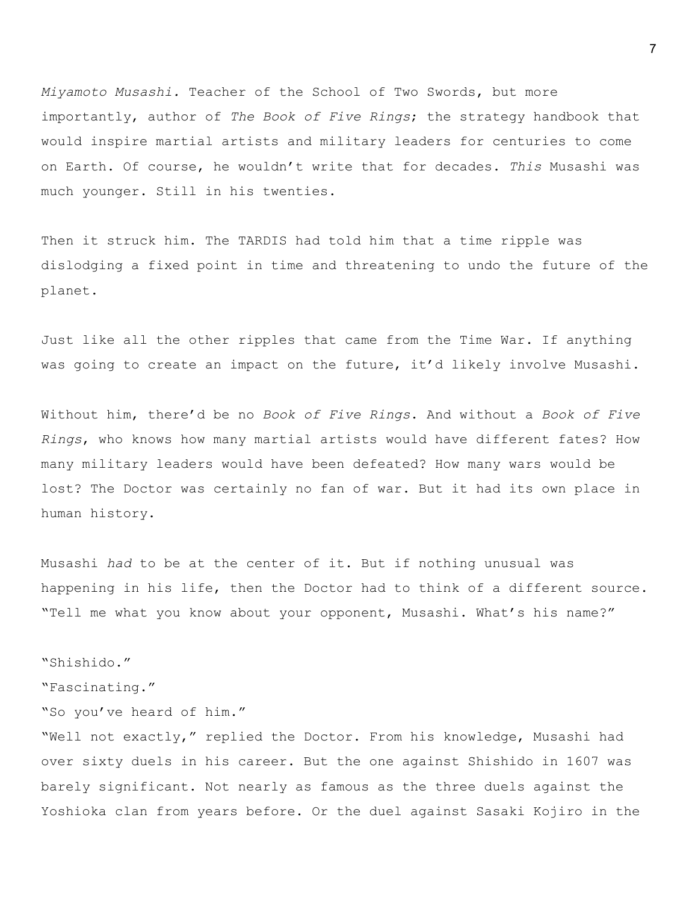*Miyamoto Musashi.* Teacher of the School of Two Swords, but more importantly, author of *The Book of Five Rings*; the strategy handbook that would inspire martial artists and military leaders for centuries to come on Earth. Of course, he wouldn't write that for decades. *This* Musashi was much younger. Still in his twenties.

Then it struck him. The TARDIS had told him that a time ripple was dislodging a fixed point in time and threatening to undo the future of the planet.

Just like all the other ripples that came from the Time War. If anything was going to create an impact on the future, it'd likely involve Musashi.

Without him, there'd be no *Book of Five Rings*. And without a *Book of Five Rings*, who knows how many martial artists would have different fates? How many military leaders would have been defeated? How many wars would be lost? The Doctor was certainly no fan of war. But it had its own place in human history.

Musashi *had* to be at the center of it. But if nothing unusual was happening in his life, then the Doctor had to think of a different source. "Tell me what you know about your opponent, Musashi. What's his name?"

"Shishido." "Fascinating." "So you've heard of him." "Well not exactly," replied the Doctor. From his knowledge, Musashi had over sixty duels in his career. But the one against Shishido in 1607 was barely significant. Not nearly as famous as the three duels against the Yoshioka clan from years before. Or the duel against Sasaki Kojiro in the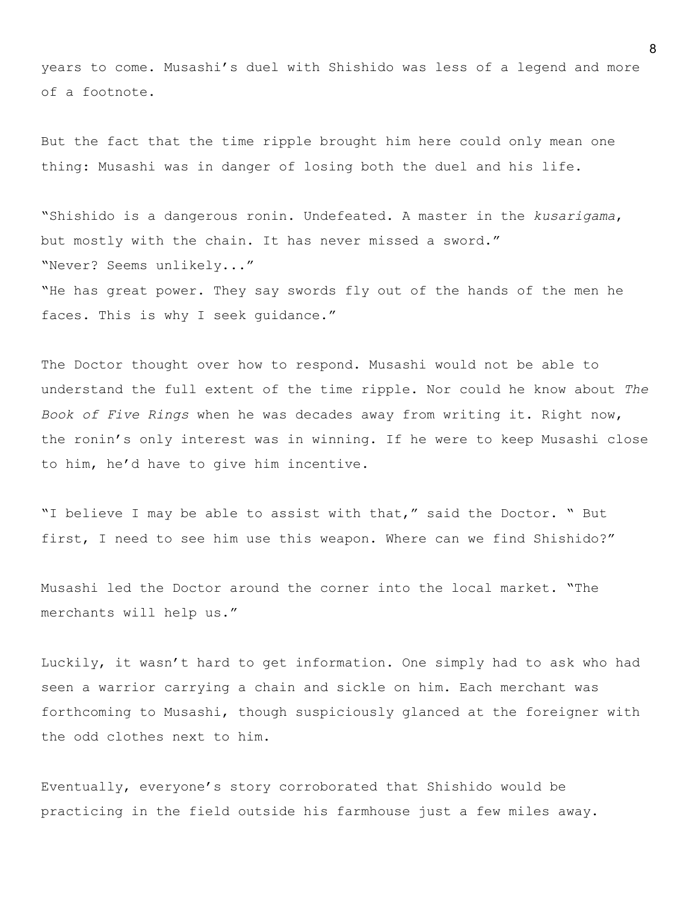years to come. Musashi's duel with Shishido was less of a legend and more of a footnote.

But the fact that the time ripple brought him here could only mean one thing: Musashi was in danger of losing both the duel and his life.

"Shishido is a dangerous ronin. Undefeated. A master in the *kusarigama*, but mostly with the chain. It has never missed a sword." "Never? Seems unlikely..." "He has great power. They say swords fly out of the hands of the men he faces. This is why I seek guidance."

The Doctor thought over how to respond. Musashi would not be able to understand the full extent of the time ripple. Nor could he know about *The Book of Five Rings* when he was decades away from writing it. Right now, the ronin's only interest was in winning. If he were to keep Musashi close to him, he'd have to give him incentive.

"I believe I may be able to assist with that," said the Doctor. " But first, I need to see him use this weapon. Where can we find Shishido?"

Musashi led the Doctor around the corner into the local market. "The merchants will help us."

Luckily, it wasn't hard to get information. One simply had to ask who had seen a warrior carrying a chain and sickle on him. Each merchant was forthcoming to Musashi, though suspiciously glanced at the foreigner with the odd clothes next to him.

Eventually, everyone's story corroborated that Shishido would be practicing in the field outside his farmhouse just a few miles away.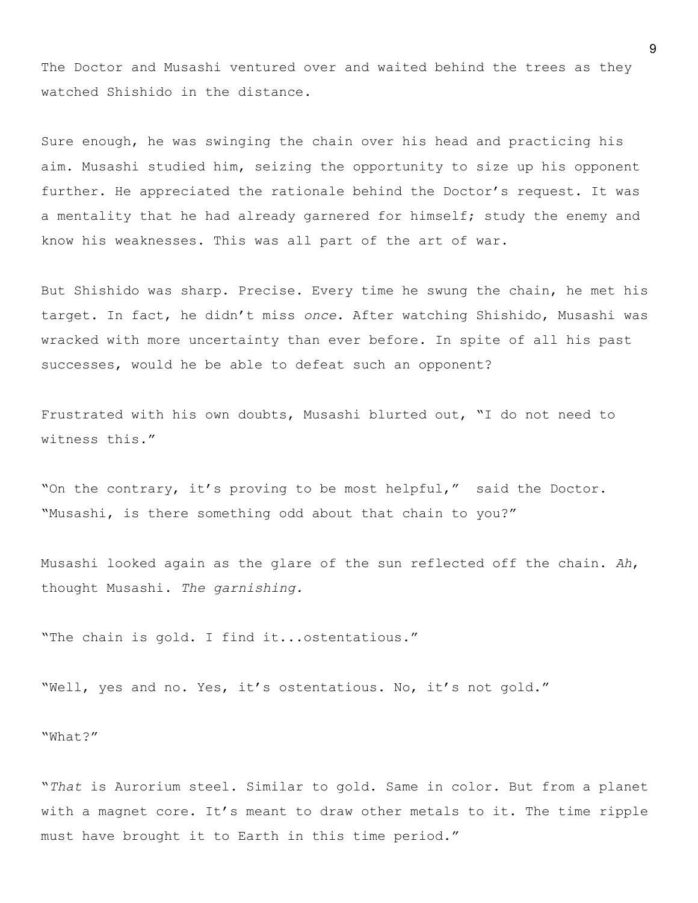The Doctor and Musashi ventured over and waited behind the trees as they watched Shishido in the distance.

Sure enough, he was swinging the chain over his head and practicing his aim. Musashi studied him, seizing the opportunity to size up his opponent further. He appreciated the rationale behind the Doctor's request. It was a mentality that he had already garnered for himself; study the enemy and know his weaknesses. This was all part of the art of war.

But Shishido was sharp. Precise. Every time he swung the chain, he met his target. In fact, he didn't miss *once*. After watching Shishido, Musashi was wracked with more uncertainty than ever before. In spite of all his past successes, would he be able to defeat such an opponent?

Frustrated with his own doubts, Musashi blurted out, "I do not need to witness this."

"On the contrary, it's proving to be most helpful," said the Doctor. "Musashi, is there something odd about that chain to you?"

Musashi looked again as the glare of the sun reflected off the chain. *Ah*, thought Musashi. *The garnishing.*

"The chain is gold. I find it...ostentatious."

"Well, yes and no. Yes, it's ostentatious. No, it's not gold."

"What?"

"*That* is Aurorium steel. Similar to gold. Same in color. But from a planet with a magnet core. It's meant to draw other metals to it. The time ripple must have brought it to Earth in this time period."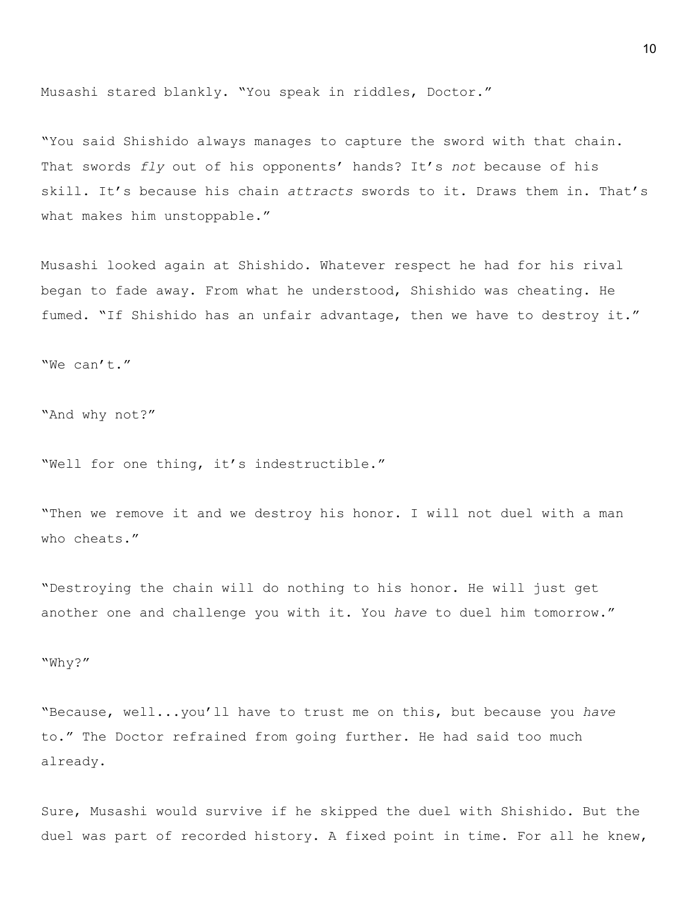Musashi stared blankly. "You speak in riddles, Doctor."

"You said Shishido always manages to capture the sword with that chain. That swords *fly* out of his opponents' hands? It's *not* because of his skill. It's because his chain *attracts* swords to it. Draws them in. That's what makes him unstoppable."

Musashi looked again at Shishido. Whatever respect he had for his rival began to fade away. From what he understood, Shishido was cheating. He fumed. "If Shishido has an unfair advantage, then we have to destroy it."

"We can't."

"And why not?"

"Well for one thing, it's indestructible."

"Then we remove it and we destroy his honor. I will not duel with a man who cheats."

"Destroying the chain will do nothing to his honor. He will just get another one and challenge you with it. You *have* to duel him tomorrow."

"Why?"

"Because, well...you'll have to trust me on this, but because you *have* to." The Doctor refrained from going further. He had said too much already.

Sure, Musashi would survive if he skipped the duel with Shishido. But the duel was part of recorded history. A fixed point in time. For all he knew,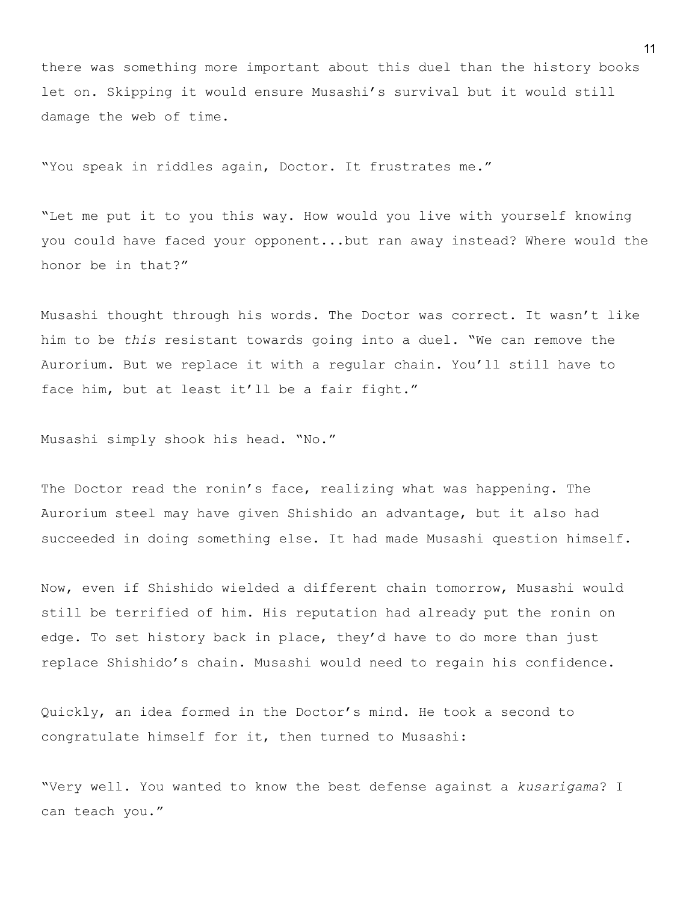there was something more important about this duel than the history books let on. Skipping it would ensure Musashi's survival but it would still damage the web of time.

"You speak in riddles again, Doctor. It frustrates me."

"Let me put it to you this way. How would you live with yourself knowing you could have faced your opponent...but ran away instead? Where would the honor be in that?"

Musashi thought through his words. The Doctor was correct. It wasn't like him to be *this* resistant towards going into a duel. "We can remove the Aurorium. But we replace it with a regular chain. You'll still have to face him, but at least it'll be a fair fight."

Musashi simply shook his head. "No."

The Doctor read the ronin's face, realizing what was happening. The Aurorium steel may have given Shishido an advantage, but it also had succeeded in doing something else. It had made Musashi question himself.

Now, even if Shishido wielded a different chain tomorrow, Musashi would still be terrified of him. His reputation had already put the ronin on edge. To set history back in place, they'd have to do more than just replace Shishido's chain. Musashi would need to regain his confidence.

Quickly, an idea formed in the Doctor's mind. He took a second to congratulate himself for it, then turned to Musashi:

"Very well. You wanted to know the best defense against a *kusarigama*? I can teach you."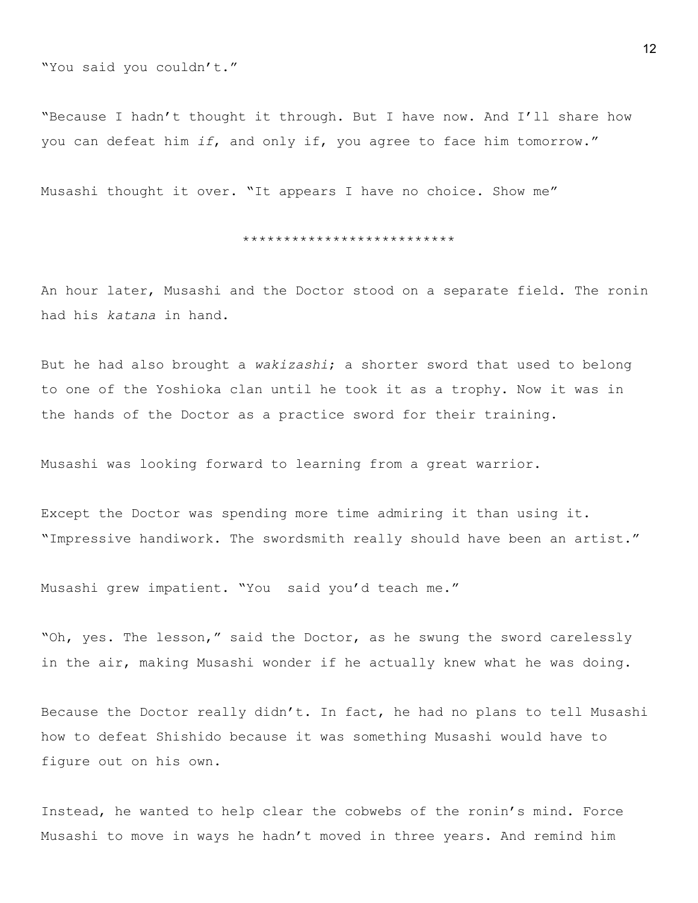"You said you couldn't."

"Because I hadn't thought it through. But I have now. And I'll share how you can defeat him *if*, and only if, you agree to face him tomorrow."

Musashi thought it over. "It appears I have no choice. Show me"

#### \*\*\*\*\*\*\*\*\*\*\*\*\*\*\*\*\*\*\*\*\*\*\*\*\*\*

An hour later, Musashi and the Doctor stood on a separate field. The ronin had his *katana* in hand.

But he had also brought a *wakizashi*; a shorter sword that used to belong to one of the Yoshioka clan until he took it as a trophy. Now it was in the hands of the Doctor as a practice sword for their training.

Musashi was looking forward to learning from a great warrior.

Except the Doctor was spending more time admiring it than using it. "Impressive handiwork. The swordsmith really should have been an artist."

Musashi grew impatient. "You said you'd teach me."

"Oh, yes. The lesson," said the Doctor, as he swung the sword carelessly in the air, making Musashi wonder if he actually knew what he was doing.

Because the Doctor really didn't. In fact, he had no plans to tell Musashi how to defeat Shishido because it was something Musashi would have to figure out on his own.

Instead, he wanted to help clear the cobwebs of the ronin's mind. Force Musashi to move in ways he hadn't moved in three years. And remind him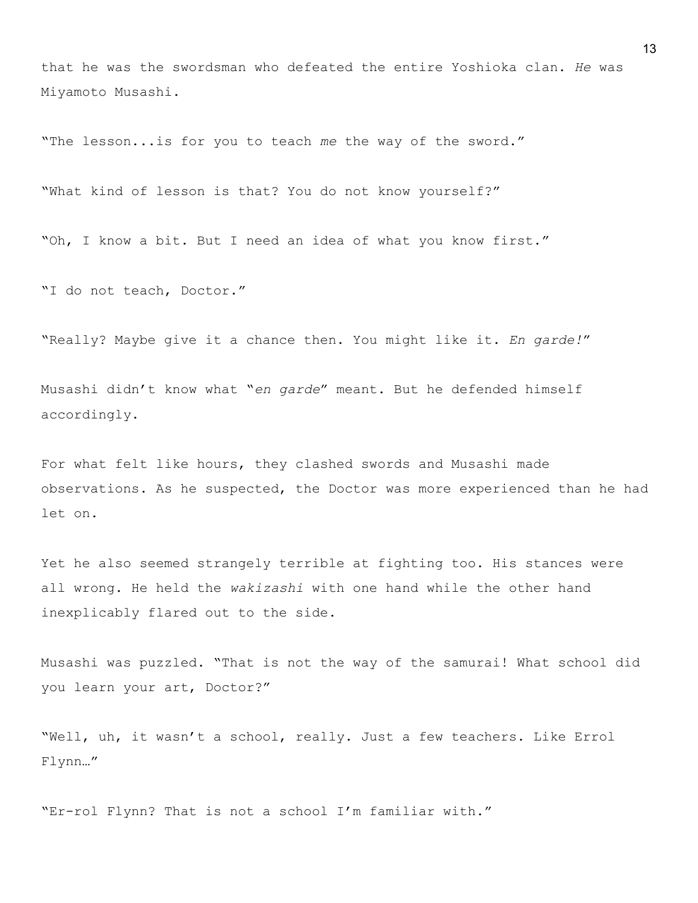that he was the swordsman who defeated the entire Yoshioka clan. *He* was Miyamoto Musashi.

"The lesson...is for you to teach *me* the way of the sword."

"What kind of lesson is that? You do not know yourself?"

"Oh, I know a bit. But I need an idea of what you know first."

"I do not teach, Doctor."

"Really? Maybe give it a chance then. You might like it. *En garde!*"

Musashi didn't know what "*en garde*" meant. But he defended himself accordingly.

For what felt like hours, they clashed swords and Musashi made observations. As he suspected, the Doctor was more experienced than he had let on.

Yet he also seemed strangely terrible at fighting too. His stances were all wrong. He held the *wakizashi* with one hand while the other hand inexplicably flared out to the side.

Musashi was puzzled. "That is not the way of the samurai! What school did you learn your art, Doctor?"

"Well, uh, it wasn't a school, really. Just a few teachers. Like Errol Flynn…"

"Er-rol Flynn? That is not a school I'm familiar with."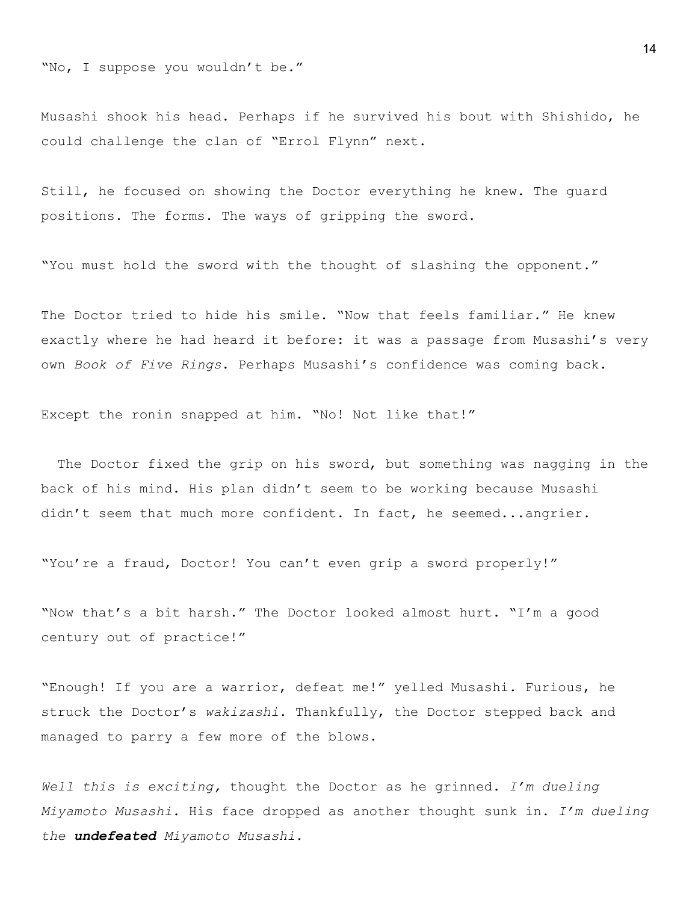"No, I suppose you wouldn't be."

Musashi shook his head. Perhaps if he survived his bout with Shishido, he could challenge the clan of "Errol Flynn" next.

Still, he focused on showing the Doctor everything he knew. The guard positions. The forms. The ways of gripping the sword.

"You must hold the sword with the thought of slashing the opponent."

The Doctor tried to hide his smile. "Now that feels familiar." He knew exactly where he had heard it before: it was a passage from Musashi's very own *Book of Five Rings*. Perhaps Musashi's confidence was coming back.

Except the ronin snapped at him. "No! Not like that!"

The Doctor fixed the grip on his sword, but something was nagging in the back of his mind. His plan didn't seem to be working because Musashi didn't seem that much more confident. In fact, he seemed...angrier.

"You're a fraud, Doctor! You can't even grip a sword properly!"

"Now that's a bit harsh." The Doctor looked almost hurt. "I'm a good century out of practice!"

"Enough! If you are a warrior, defeat me!" yelled Musashi. Furious, he struck the Doctor's *wakizashi*. Thankfully, the Doctor stepped back and managed to parry a few more of the blows.

*Well this is exciting,* thought the Doctor as he grinned. *I'm dueling Miyamoto Musashi*. His face dropped as another thought sunk in. *I'm dueling the undefeated Miyamoto Musashi*.

14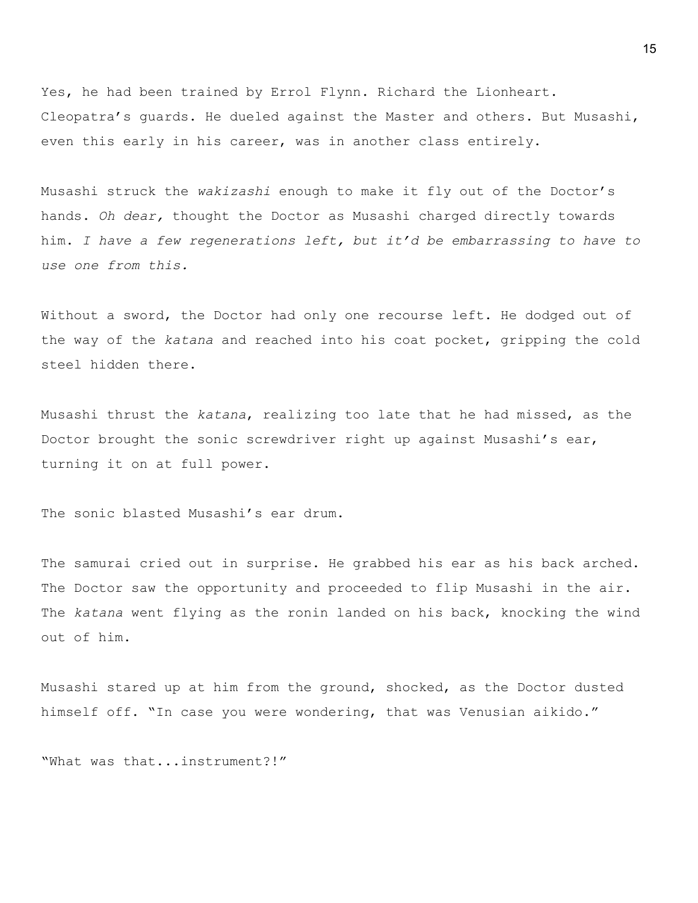Yes, he had been trained by Errol Flynn. Richard the Lionheart. Cleopatra's guards. He dueled against the Master and others. But Musashi, even this early in his career, was in another class entirely.

Musashi struck the *wakizashi* enough to make it fly out of the Doctor's hands. *Oh dear,* thought the Doctor as Musashi charged directly towards him. *I have a few regenerations left, but it'd be embarrassing to have to use one from this.*

Without a sword, the Doctor had only one recourse left. He dodged out of the way of the *katana* and reached into his coat pocket, gripping the cold steel hidden there.

Musashi thrust the *katana*, realizing too late that he had missed, as the Doctor brought the sonic screwdriver right up against Musashi's ear, turning it on at full power.

The sonic blasted Musashi's ear drum.

The samurai cried out in surprise. He grabbed his ear as his back arched. The Doctor saw the opportunity and proceeded to flip Musashi in the air. The *katana* went flying as the ronin landed on his back, knocking the wind out of him.

Musashi stared up at him from the ground, shocked, as the Doctor dusted himself off. "In case you were wondering, that was Venusian aikido."

"What was that...instrument?!"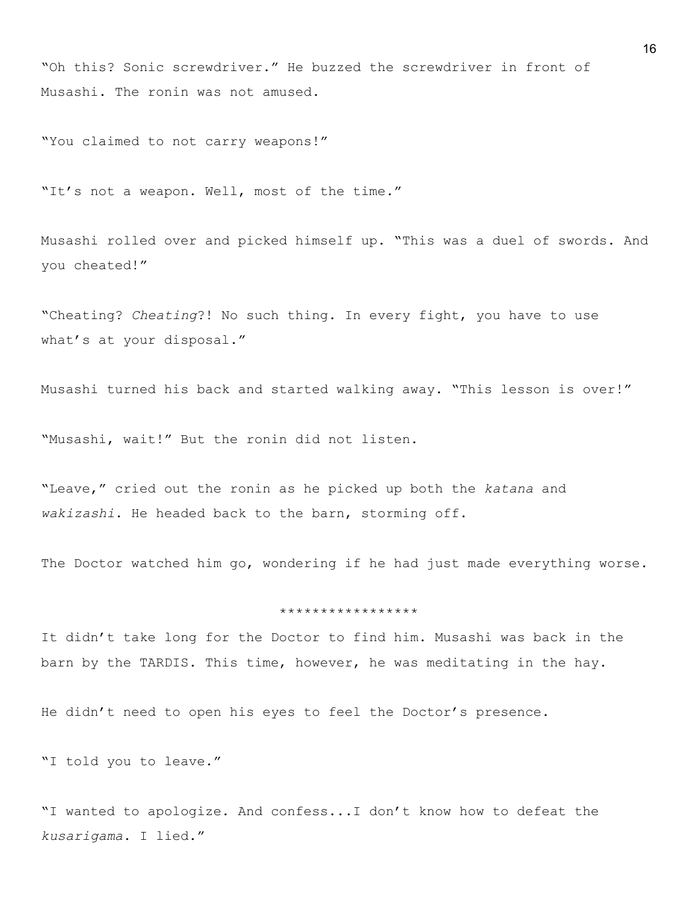"Oh this? Sonic screwdriver." He buzzed the screwdriver in front of Musashi. The ronin was not amused.

"You claimed to not carry weapons!"

"It's not a weapon. Well, most of the time."

Musashi rolled over and picked himself up. "This was a duel of swords. And you cheated!"

"Cheating? *Cheating*?! No such thing. In every fight, you have to use what's at your disposal."

Musashi turned his back and started walking away. "This lesson is over!"

"Musashi, wait!" But the ronin did not listen.

"Leave," cried out the ronin as he picked up both the *katana* and *wakizashi*. He headed back to the barn, storming off.

The Doctor watched him go, wondering if he had just made everything worse.

#### \*\*\*\*\*\*\*\*\*\*\*\*\*\*\*\*\*

It didn't take long for the Doctor to find him. Musashi was back in the barn by the TARDIS. This time, however, he was meditating in the hay.

He didn't need to open his eyes to feel the Doctor's presence.

"I told you to leave."

"I wanted to apologize. And confess...I don't know how to defeat the *kusarigama*. I lied."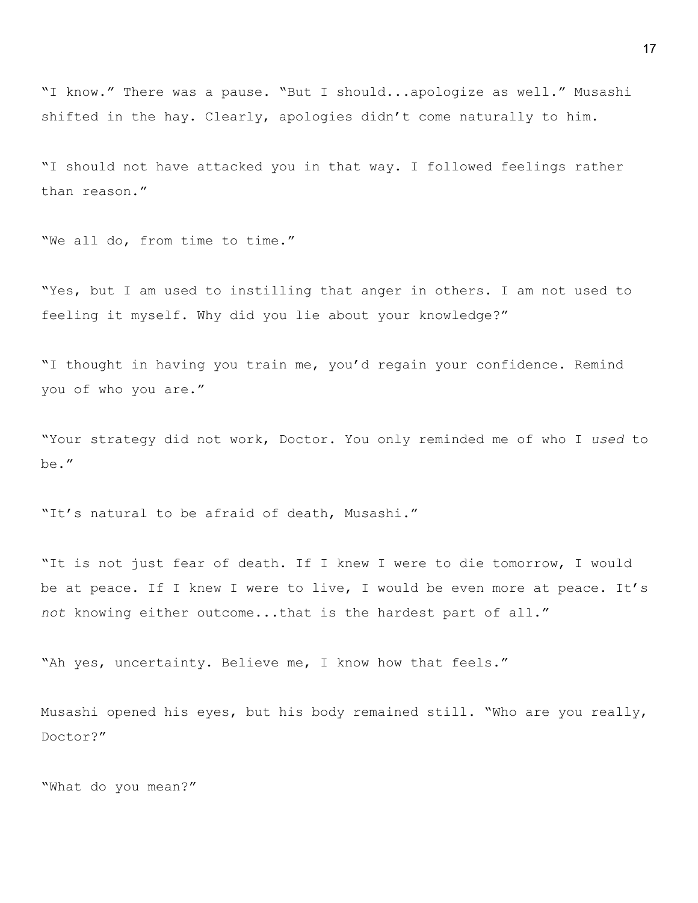"I know." There was a pause. "But I should...apologize as well." Musashi shifted in the hay. Clearly, apologies didn't come naturally to him.

"I should not have attacked you in that way. I followed feelings rather than reason."

"We all do, from time to time."

"Yes, but I am used to instilling that anger in others. I am not used to feeling it myself. Why did you lie about your knowledge?"

"I thought in having you train me, you'd regain your confidence. Remind you of who you are."

"Your strategy did not work, Doctor. You only reminded me of who I *used* to be."

"It's natural to be afraid of death, Musashi."

"It is not just fear of death. If I knew I were to die tomorrow, I would be at peace. If I knew I were to live, I would be even more at peace. It's *not* knowing either outcome...that is the hardest part of all."

"Ah yes, uncertainty. Believe me, I know how that feels."

Musashi opened his eyes, but his body remained still. "Who are you really, Doctor?"

"What do you mean?"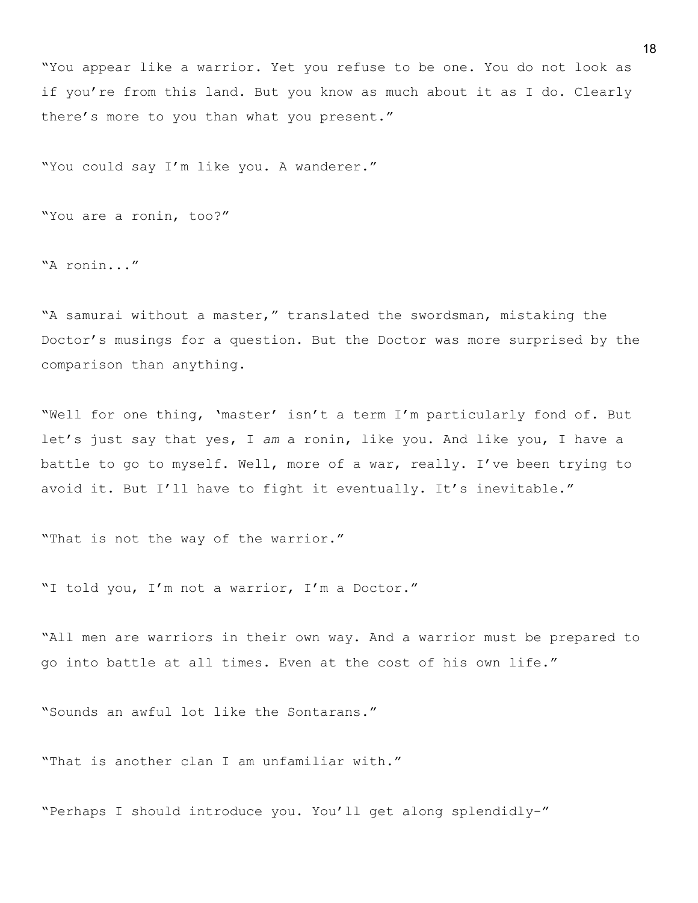"You appear like a warrior. Yet you refuse to be one. You do not look as if you're from this land. But you know as much about it as I do. Clearly there's more to you than what you present."

"You could say I'm like you. A wanderer."

"You are a ronin, too?"

"A ronin..."

"A samurai without a master," translated the swordsman, mistaking the Doctor's musings for a question. But the Doctor was more surprised by the comparison than anything.

"Well for one thing, 'master' isn't a term I'm particularly fond of. But let's just say that yes, I *am* a ronin, like you. And like you, I have a battle to go to myself. Well, more of a war, really. I've been trying to avoid it. But I'll have to fight it eventually. It's inevitable."

"That is not the way of the warrior."

"I told you, I'm not a warrior, I'm a Doctor."

"All men are warriors in their own way. And a warrior must be prepared to go into battle at all times. Even at the cost of his own life."

"Sounds an awful lot like the Sontarans."

"That is another clan I am unfamiliar with."

"Perhaps I should introduce you. You'll get along splendidly-"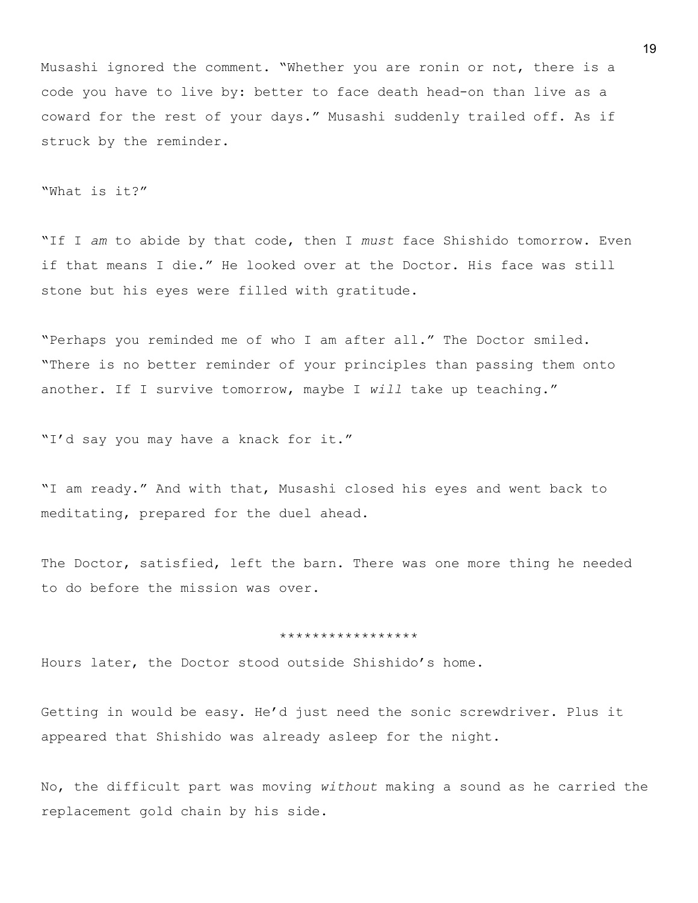Musashi ignored the comment. "Whether you are ronin or not, there is a code you have to live by: better to face death head-on than live as a coward for the rest of your days." Musashi suddenly trailed off. As if struck by the reminder.

"What is it?"

"If I *am* to abide by that code, then I *must* face Shishido tomorrow. Even if that means I die." He looked over at the Doctor. His face was still stone but his eyes were filled with gratitude.

"Perhaps you reminded me of who I am after all." The Doctor smiled. "There is no better reminder of your principles than passing them onto another. If I survive tomorrow, maybe I *will* take up teaching."

"I'd say you may have a knack for it."

"I am ready." And with that, Musashi closed his eyes and went back to meditating, prepared for the duel ahead.

The Doctor, satisfied, left the barn. There was one more thing he needed to do before the mission was over.

#### \*\*\*\*\*\*\*\*\*\*\*\*\*\*\*\*\*

Hours later, the Doctor stood outside Shishido's home.

Getting in would be easy. He'd just need the sonic screwdriver. Plus it appeared that Shishido was already asleep for the night.

No, the difficult part was moving *without* making a sound as he carried the replacement gold chain by his side.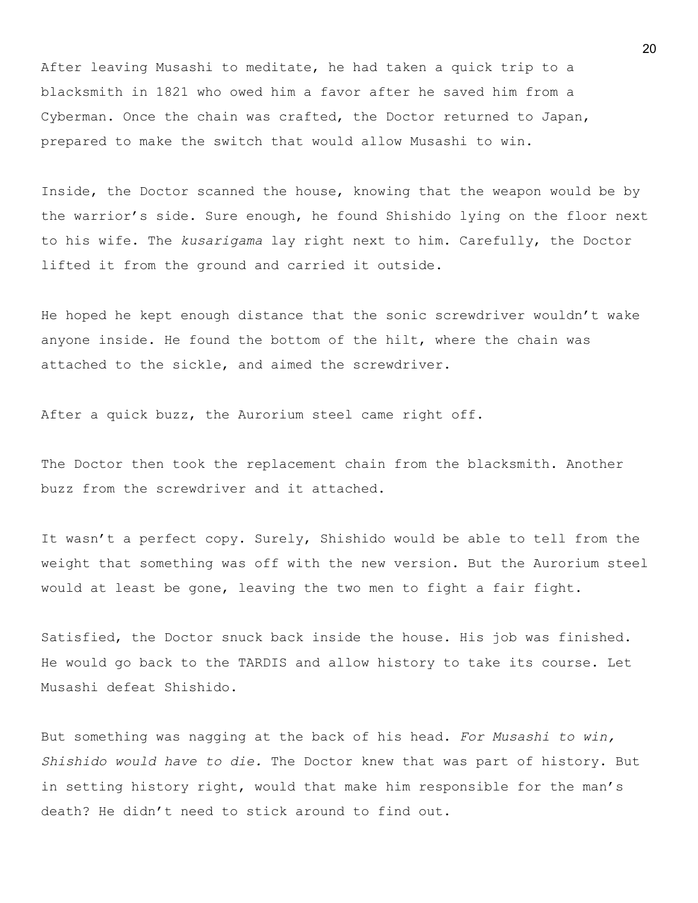After leaving Musashi to meditate, he had taken a quick trip to a blacksmith in 1821 who owed him a favor after he saved him from a Cyberman. Once the chain was crafted, the Doctor returned to Japan, prepared to make the switch that would allow Musashi to win.

Inside, the Doctor scanned the house, knowing that the weapon would be by the warrior's side. Sure enough, he found Shishido lying on the floor next to his wife. The *kusarigama* lay right next to him. Carefully, the Doctor lifted it from the ground and carried it outside.

He hoped he kept enough distance that the sonic screwdriver wouldn't wake anyone inside. He found the bottom of the hilt, where the chain was attached to the sickle, and aimed the screwdriver.

After a quick buzz, the Aurorium steel came right off.

The Doctor then took the replacement chain from the blacksmith. Another buzz from the screwdriver and it attached.

It wasn't a perfect copy. Surely, Shishido would be able to tell from the weight that something was off with the new version. But the Aurorium steel would at least be gone, leaving the two men to fight a fair fight.

Satisfied, the Doctor snuck back inside the house. His job was finished. He would go back to the TARDIS and allow history to take its course. Let Musashi defeat Shishido.

But something was nagging at the back of his head. *For Musashi to win, Shishido would have to die.* The Doctor knew that was part of history. But in setting history right, would that make him responsible for the man's death? He didn't need to stick around to find out.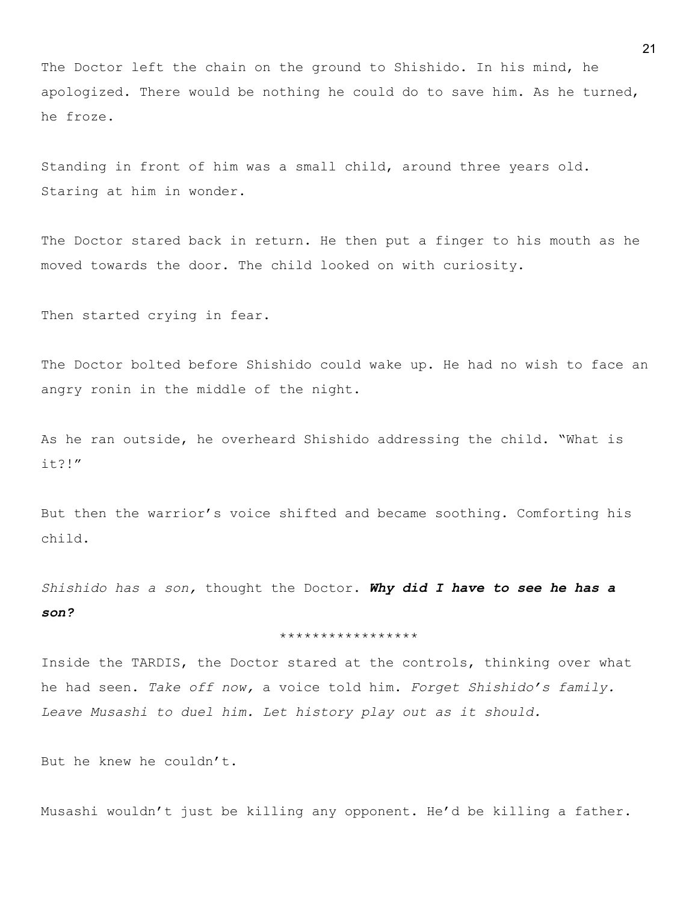The Doctor left the chain on the ground to Shishido. In his mind, he apologized. There would be nothing he could do to save him. As he turned, he froze.

Standing in front of him was a small child, around three years old. Staring at him in wonder.

The Doctor stared back in return. He then put a finger to his mouth as he moved towards the door. The child looked on with curiosity.

Then started crying in fear.

The Doctor bolted before Shishido could wake up. He had no wish to face an angry ronin in the middle of the night.

As he ran outside, he overheard Shishido addressing the child. "What is it?!"

But then the warrior's voice shifted and became soothing. Comforting his child.

*Shishido has a son,* thought the Doctor. *Why did I have to see he has a son?*

### \*\*\*\*\*\*\*\*\*\*\*\*\*\*\*\*\*

Inside the TARDIS, the Doctor stared at the controls, thinking over what he had seen. *Take off now,* a voice told him. *Forget Shishido's family. Leave Musashi to duel him. Let history play out as it should.*

But he knew he couldn't.

Musashi wouldn't just be killing any opponent. He'd be killing a father.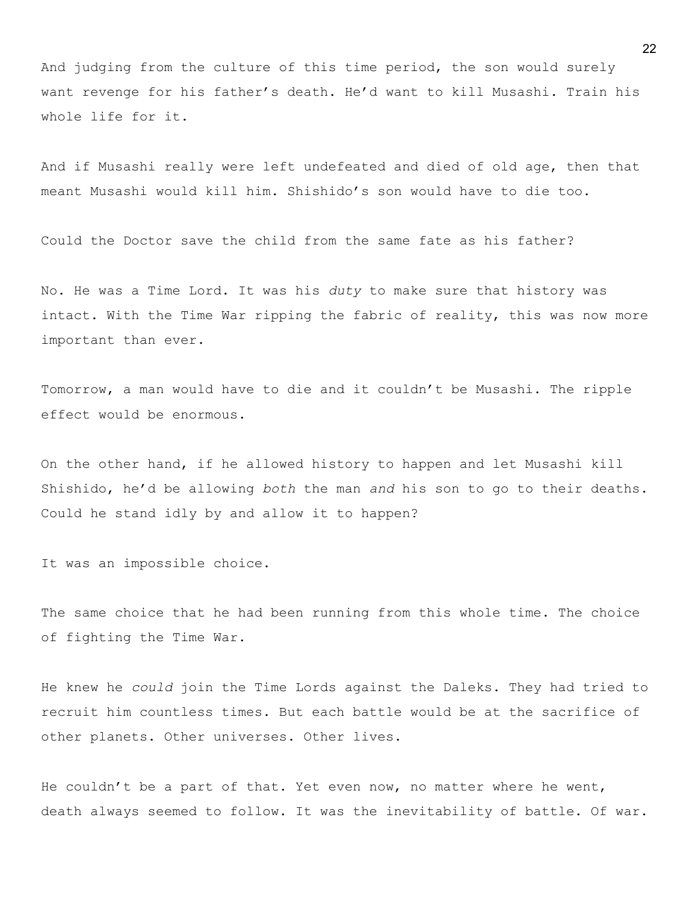And judging from the culture of this time period, the son would surely want revenge for his father's death. He'd want to kill Musashi. Train his whole life for it.

And if Musashi really were left undefeated and died of old age, then that meant Musashi would kill him. Shishido's son would have to die too.

Could the Doctor save the child from the same fate as his father?

No. He was a Time Lord. It was his *duty* to make sure that history was intact. With the Time War ripping the fabric of reality, this was now more important than ever.

Tomorrow, a man would have to die and it couldn't be Musashi. The ripple effect would be enormous.

On the other hand, if he allowed history to happen and let Musashi kill Shishido, he'd be allowing *both* the man *and* his son to go to their deaths. Could he stand idly by and allow it to happen?

It was an impossible choice.

The same choice that he had been running from this whole time. The choice of fighting the Time War.

He knew he *could* join the Time Lords against the Daleks. They had tried to recruit him countless times. But each battle would be at the sacrifice of other planets. Other universes. Other lives.

He couldn't be a part of that. Yet even now, no matter where he went, death always seemed to follow. It was the inevitability of battle. Of war.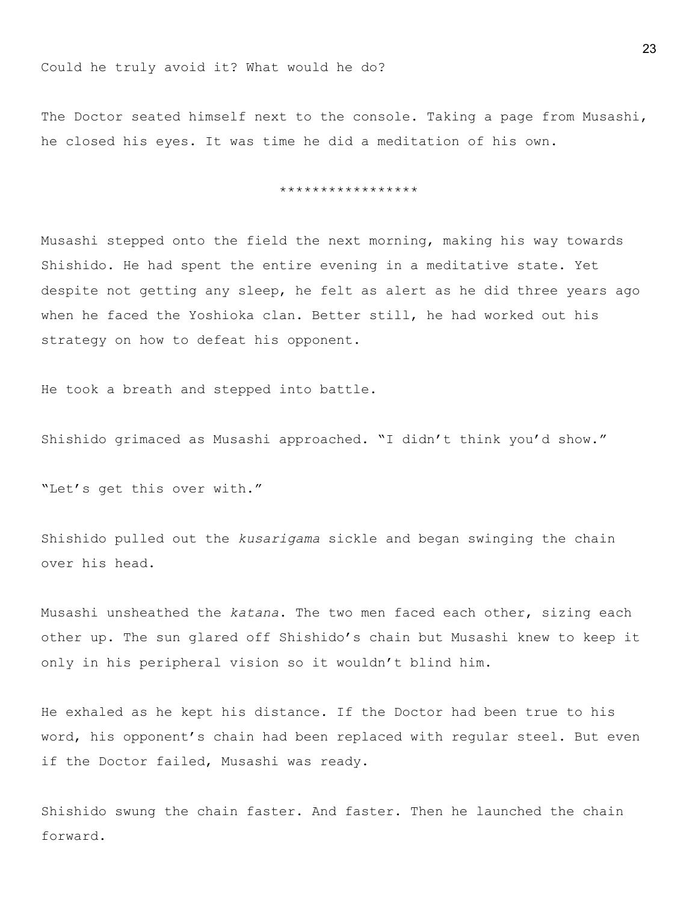The Doctor seated himself next to the console. Taking a page from Musashi, he closed his eyes. It was time he did a meditation of his own.

\*\*\*\*\*\*\*\*\*\*\*\*\*\*\*\*\*

Musashi stepped onto the field the next morning, making his way towards Shishido. He had spent the entire evening in a meditative state. Yet despite not getting any sleep, he felt as alert as he did three years ago when he faced the Yoshioka clan. Better still, he had worked out his strategy on how to defeat his opponent.

He took a breath and stepped into battle.

Shishido grimaced as Musashi approached. "I didn't think you'd show."

"Let's get this over with."

Shishido pulled out the *kusarigama* sickle and began swinging the chain over his head.

Musashi unsheathed the *katana*. The two men faced each other, sizing each other up. The sun glared off Shishido's chain but Musashi knew to keep it only in his peripheral vision so it wouldn't blind him.

He exhaled as he kept his distance. If the Doctor had been true to his word, his opponent's chain had been replaced with regular steel. But even if the Doctor failed, Musashi was ready.

Shishido swung the chain faster. And faster. Then he launched the chain forward.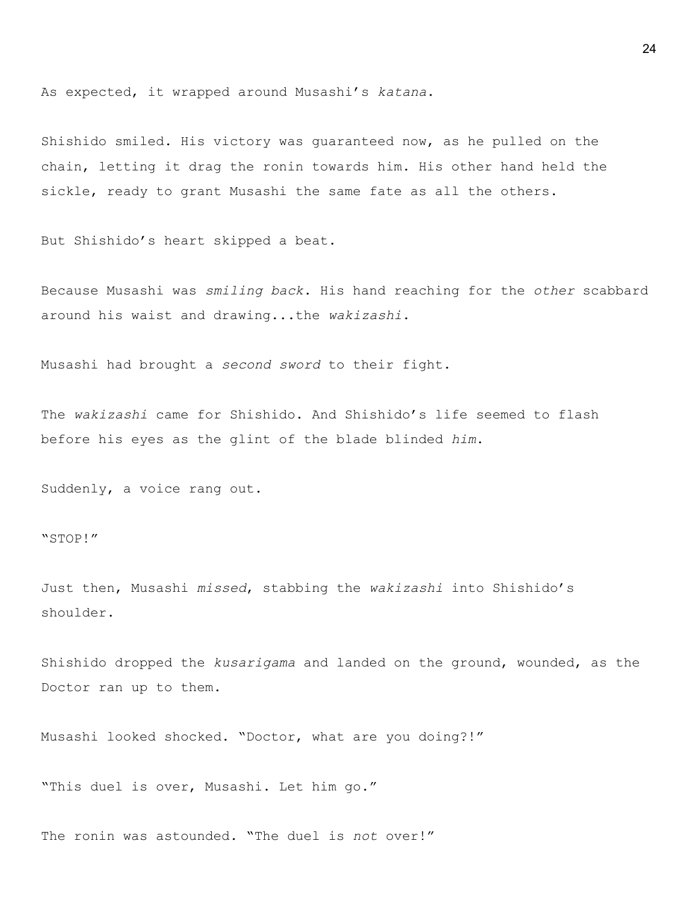As expected, it wrapped around Musashi's *katana*.

Shishido smiled. His victory was guaranteed now, as he pulled on the chain, letting it drag the ronin towards him. His other hand held the sickle, ready to grant Musashi the same fate as all the others.

But Shishido's heart skipped a beat.

Because Musashi was *smiling back*. His hand reaching for the *other* scabbard around his waist and drawing...the *wakizashi*.

Musashi had brought a *second sword* to their fight.

The *wakizashi* came for Shishido. And Shishido's life seemed to flash before his eyes as the glint of the blade blinded *him*.

Suddenly, a voice rang out.

"STOP!"

Just then, Musashi *missed*, stabbing the *wakizashi* into Shishido's shoulder.

Shishido dropped the *kusarigama* and landed on the ground, wounded, as the Doctor ran up to them.

Musashi looked shocked. "Doctor, what are you doing?!"

"This duel is over, Musashi. Let him go."

The ronin was astounded. "The duel is *not* over!"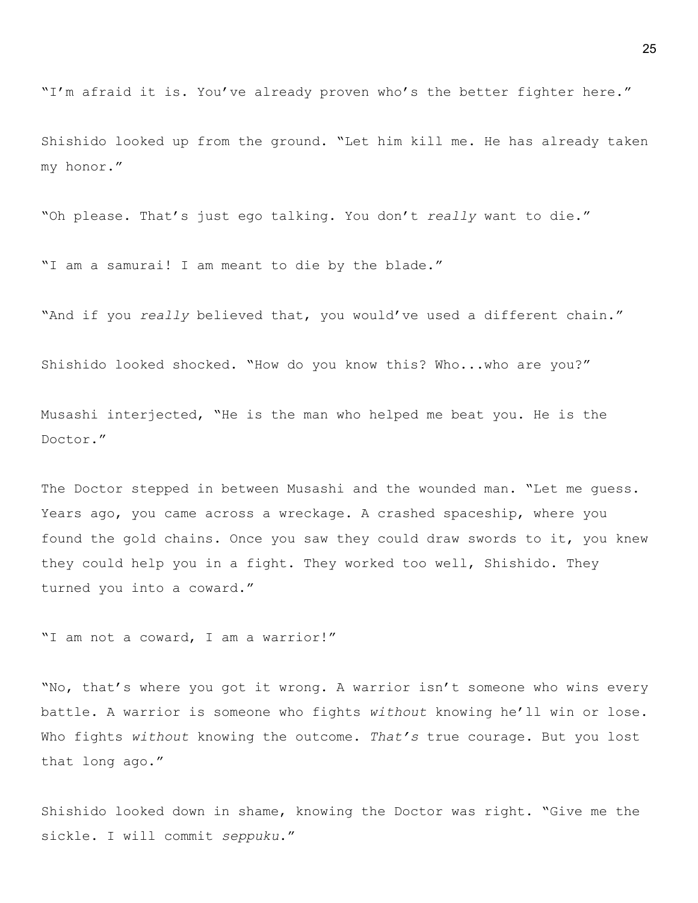"I'm afraid it is. You've already proven who's the better fighter here."

Shishido looked up from the ground. "Let him kill me. He has already taken my honor."

"Oh please. That's just ego talking. You don't *really* want to die."

"I am a samurai! I am meant to die by the blade."

"And if you *really* believed that, you would've used a different chain."

Shishido looked shocked. "How do you know this? Who...who are you?"

Musashi interjected, "He is the man who helped me beat you. He is the Doctor."

The Doctor stepped in between Musashi and the wounded man. "Let me guess. Years ago, you came across a wreckage. A crashed spaceship, where you found the gold chains. Once you saw they could draw swords to it, you knew they could help you in a fight. They worked too well, Shishido. They turned you into a coward."

"I am not a coward, I am a warrior!"

"No, that's where you got it wrong. A warrior isn't someone who wins every battle. A warrior is someone who fights *without* knowing he'll win or lose. Who fights *without* knowing the outcome. *That's* true courage. But you lost that long ago."

Shishido looked down in shame, knowing the Doctor was right. "Give me the sickle. I will commit *seppuku*."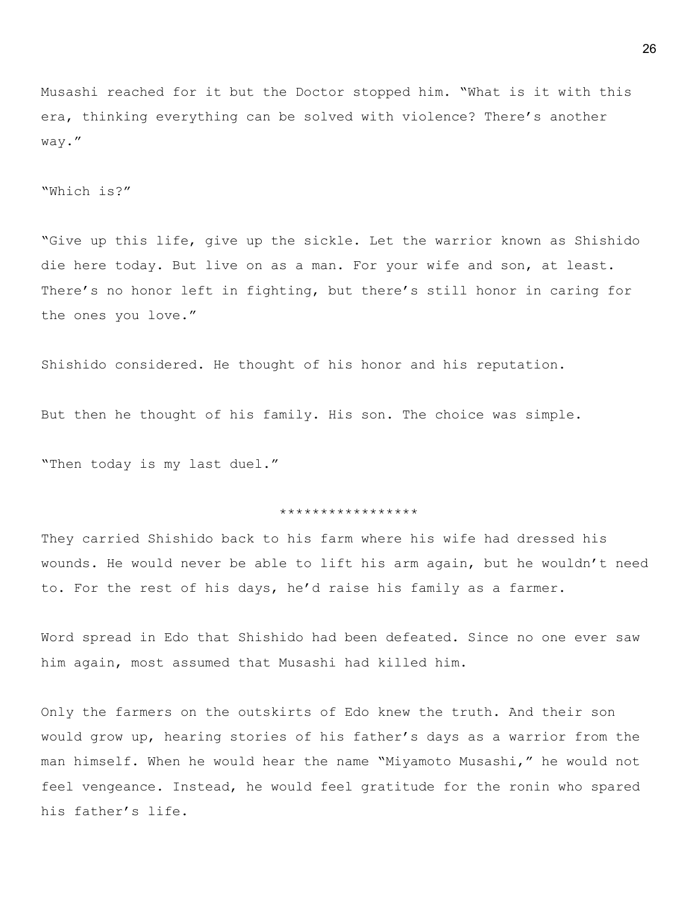Musashi reached for it but the Doctor stopped him. "What is it with this era, thinking everything can be solved with violence? There's another way."

"Which is?"

"Give up this life, give up the sickle. Let the warrior known as Shishido die here today. But live on as a man. For your wife and son, at least. There's no honor left in fighting, but there's still honor in caring for the ones you love."

Shishido considered. He thought of his honor and his reputation.

But then he thought of his family. His son. The choice was simple.

"Then today is my last duel."

#### \*\*\*\*\*\*\*\*\*\*\*\*\*\*\*\*\*

They carried Shishido back to his farm where his wife had dressed his wounds. He would never be able to lift his arm again, but he wouldn't need to. For the rest of his days, he'd raise his family as a farmer.

Word spread in Edo that Shishido had been defeated. Since no one ever saw him again, most assumed that Musashi had killed him.

Only the farmers on the outskirts of Edo knew the truth. And their son would grow up, hearing stories of his father's days as a warrior from the man himself. When he would hear the name "Miyamoto Musashi," he would not feel vengeance. Instead, he would feel gratitude for the ronin who spared his father's life.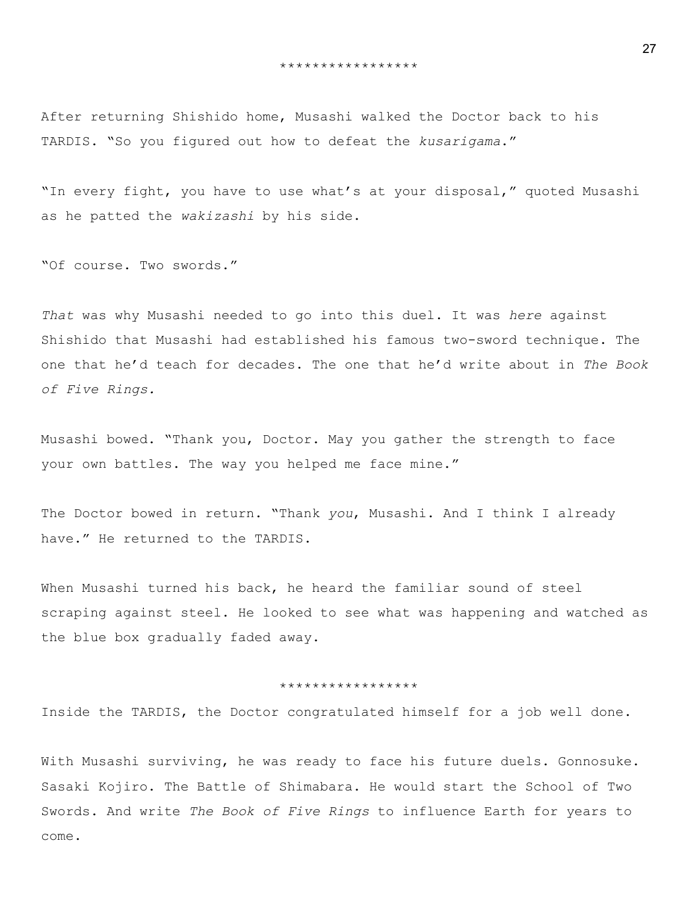After returning Shishido home, Musashi walked the Doctor back to his TARDIS. "So you figured out how to defeat the *kusarigama*."

"In every fight, you have to use what's at your disposal," quoted Musashi as he patted the *wakizashi* by his side.

"Of course. Two swords."

*That* was why Musashi needed to go into this duel. It was *here* against Shishido that Musashi had established his famous two-sword technique. The one that he'd teach for decades. The one that he'd write about in *The Book of Five Rings.*

Musashi bowed. "Thank you, Doctor. May you gather the strength to face your own battles. The way you helped me face mine."

The Doctor bowed in return. "Thank *you*, Musashi. And I think I already have." He returned to the TARDIS.

When Musashi turned his back, he heard the familiar sound of steel scraping against steel. He looked to see what was happening and watched as the blue box gradually faded away.

## \*\*\*\*\*\*\*\*\*\*\*\*\*\*\*\*\*

Inside the TARDIS, the Doctor congratulated himself for a job well done.

With Musashi surviving, he was ready to face his future duels. Gonnosuke. Sasaki Kojiro. The Battle of Shimabara. He would start the School of Two Swords. And write *The Book of Five Rings* to influence Earth for years to come.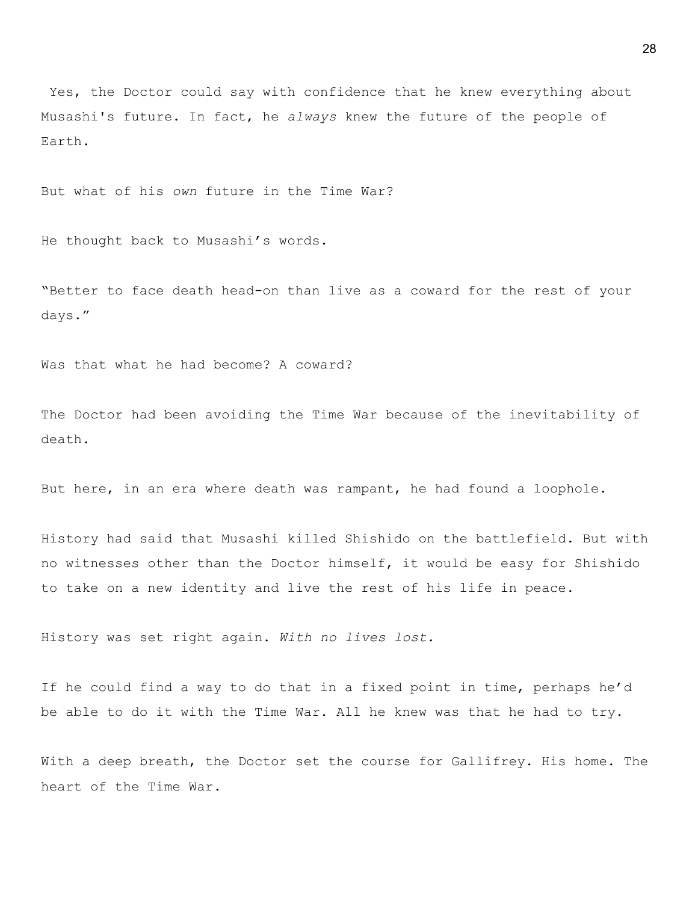Yes, the Doctor could say with confidence that he knew everything about Musashi's future. In fact, he *always* knew the future of the people of Earth.

But what of his *own* future in the Time War?

He thought back to Musashi's words.

"Better to face death head-on than live as a coward for the rest of your days."

Was that what he had become? A coward?

The Doctor had been avoiding the Time War because of the inevitability of death.

But here, in an era where death was rampant, he had found a loophole.

History had said that Musashi killed Shishido on the battlefield. But with no witnesses other than the Doctor himself, it would be easy for Shishido to take on a new identity and live the rest of his life in peace.

History was set right again. *With no lives lost.*

If he could find a way to do that in a fixed point in time, perhaps he'd be able to do it with the Time War. All he knew was that he had to try.

With a deep breath, the Doctor set the course for Gallifrey. His home. The heart of the Time War.